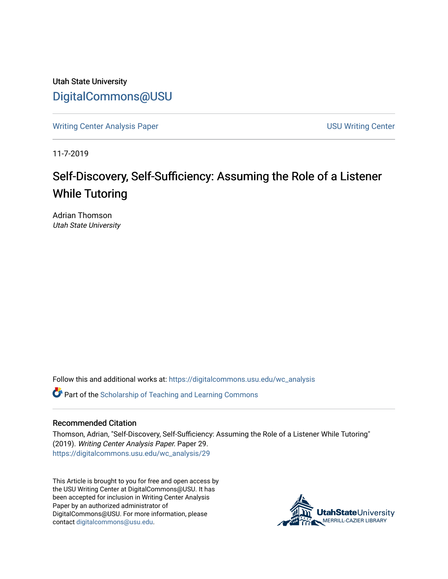Utah State University [DigitalCommons@USU](https://digitalcommons.usu.edu/)

[Writing Center Analysis Paper](https://digitalcommons.usu.edu/wc_analysis) [USU Writing Center](https://digitalcommons.usu.edu/wc) 

11-7-2019

# Self-Discovery, Self-Sufficiency: Assuming the Role of a Listener While Tutoring

Adrian Thomson Utah State University

Follow this and additional works at: [https://digitalcommons.usu.edu/wc\\_analysis](https://digitalcommons.usu.edu/wc_analysis?utm_source=digitalcommons.usu.edu%2Fwc_analysis%2F29&utm_medium=PDF&utm_campaign=PDFCoverPages) 

Part of the [Scholarship of Teaching and Learning Commons](http://network.bepress.com/hgg/discipline/1328?utm_source=digitalcommons.usu.edu%2Fwc_analysis%2F29&utm_medium=PDF&utm_campaign=PDFCoverPages) 

#### Recommended Citation

Thomson, Adrian, "Self-Discovery, Self-Sufficiency: Assuming the Role of a Listener While Tutoring" (2019). Writing Center Analysis Paper. Paper 29. [https://digitalcommons.usu.edu/wc\\_analysis/29](https://digitalcommons.usu.edu/wc_analysis/29?utm_source=digitalcommons.usu.edu%2Fwc_analysis%2F29&utm_medium=PDF&utm_campaign=PDFCoverPages)

This Article is brought to you for free and open access by the USU Writing Center at DigitalCommons@USU. It has been accepted for inclusion in Writing Center Analysis Paper by an authorized administrator of DigitalCommons@USU. For more information, please contact [digitalcommons@usu.edu](mailto:digitalcommons@usu.edu).

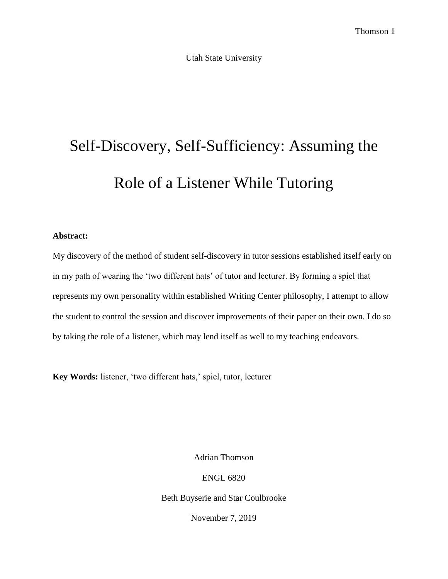Utah State University

# Self-Discovery, Self-Sufficiency: Assuming the Role of a Listener While Tutoring

#### **Abstract:**

My discovery of the method of student self-discovery in tutor sessions established itself early on in my path of wearing the 'two different hats' of tutor and lecturer. By forming a spiel that represents my own personality within established Writing Center philosophy, I attempt to allow the student to control the session and discover improvements of their paper on their own. I do so by taking the role of a listener, which may lend itself as well to my teaching endeavors.

**Key Words:** listener, 'two different hats,' spiel, tutor, lecturer

Adrian Thomson

ENGL 6820

Beth Buyserie and Star Coulbrooke

November 7, 2019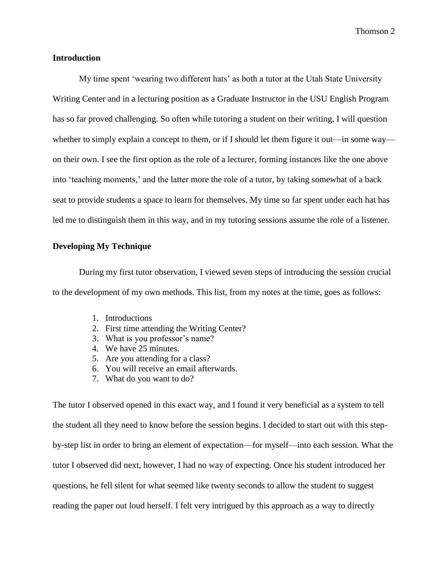#### **Introduction**

My time spent 'wearing two different hats' as both a tutor at the Utah State University Writing Center and in a lecturing position as a Graduate Instructor in the USU English Program has so far proved challenging. So often while tutoring a student on their writing, I will question whether to simply explain a concept to them, or if I should let them figure it out—in some way on their own. I see the first option as the role of a lecturer, forming instances like the one above into 'teaching moments,' and the latter more the role of a tutor, by taking somewhat of a back seat to provide students a space to learn for themselves. My time so far spent under each hat has led me to distinguish them in this way, and in my tutoring sessions assume the role of a listener.

#### **Developing My Technique**

During my first tutor observation, I viewed seven steps of introducing the session crucial to the development of my own methods. This list, from my notes at the time, goes as follows:

- 1. Introductions
- 2. First time attending the Writing Center?
- 3. What is you professor's name?
- 4. We have 25 minutes.
- 5. Are you attending for a class?
- 6. You will receive an email afterwards.
- 7. What do you want to do?

The tutor I observed opened in this exact way, and I found it very beneficial as a system to tell the student all they need to know before the session begins. I decided to start out with this stepby-step list in order to bring an element of expectation—for myself—into each session. What the tutor I observed did next, however, I had no way of expecting. Once his student introduced her questions, he fell silent for what seemed like twenty seconds to allow the student to suggest reading the paper out loud herself. I felt very intrigued by this approach as a way to directly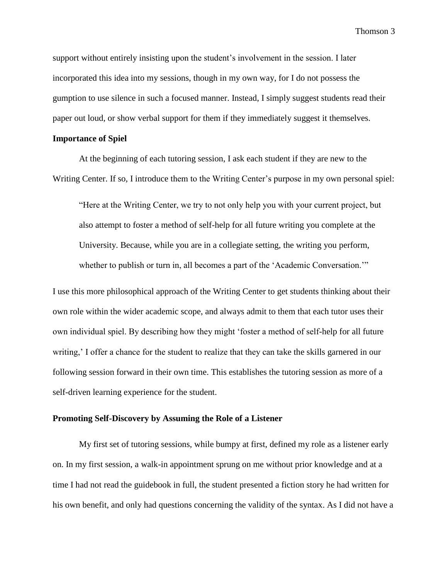support without entirely insisting upon the student's involvement in the session. I later incorporated this idea into my sessions, though in my own way, for I do not possess the gumption to use silence in such a focused manner. Instead, I simply suggest students read their paper out loud, or show verbal support for them if they immediately suggest it themselves.

## **Importance of Spiel**

At the beginning of each tutoring session, I ask each student if they are new to the Writing Center. If so, I introduce them to the Writing Center's purpose in my own personal spiel:

"Here at the Writing Center, we try to not only help you with your current project, but also attempt to foster a method of self-help for all future writing you complete at the University. Because, while you are in a collegiate setting, the writing you perform, whether to publish or turn in, all becomes a part of the 'Academic Conversation.'"

I use this more philosophical approach of the Writing Center to get students thinking about their own role within the wider academic scope, and always admit to them that each tutor uses their own individual spiel. By describing how they might 'foster a method of self-help for all future writing,' I offer a chance for the student to realize that they can take the skills garnered in our following session forward in their own time. This establishes the tutoring session as more of a self-driven learning experience for the student.

# **Promoting Self-Discovery by Assuming the Role of a Listener**

My first set of tutoring sessions, while bumpy at first, defined my role as a listener early on. In my first session, a walk-in appointment sprung on me without prior knowledge and at a time I had not read the guidebook in full, the student presented a fiction story he had written for his own benefit, and only had questions concerning the validity of the syntax. As I did not have a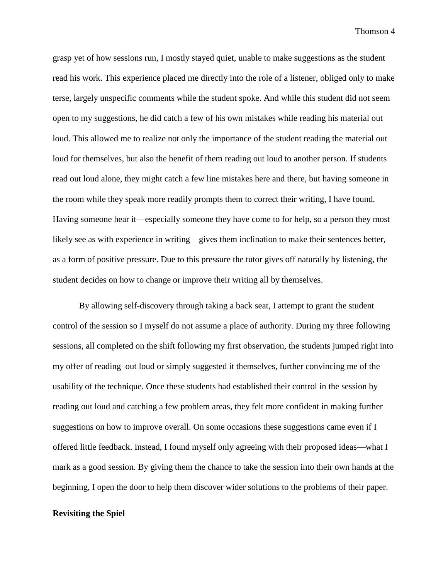grasp yet of how sessions run, I mostly stayed quiet, unable to make suggestions as the student read his work. This experience placed me directly into the role of a listener, obliged only to make terse, largely unspecific comments while the student spoke. And while this student did not seem open to my suggestions, he did catch a few of his own mistakes while reading his material out loud. This allowed me to realize not only the importance of the student reading the material out loud for themselves, but also the benefit of them reading out loud to another person. If students read out loud alone, they might catch a few line mistakes here and there, but having someone in the room while they speak more readily prompts them to correct their writing, I have found. Having someone hear it—especially someone they have come to for help, so a person they most likely see as with experience in writing—gives them inclination to make their sentences better, as a form of positive pressure. Due to this pressure the tutor gives off naturally by listening, the student decides on how to change or improve their writing all by themselves.

By allowing self-discovery through taking a back seat, I attempt to grant the student control of the session so I myself do not assume a place of authority. During my three following sessions, all completed on the shift following my first observation, the students jumped right into my offer of reading out loud or simply suggested it themselves, further convincing me of the usability of the technique. Once these students had established their control in the session by reading out loud and catching a few problem areas, they felt more confident in making further suggestions on how to improve overall. On some occasions these suggestions came even if I offered little feedback. Instead, I found myself only agreeing with their proposed ideas—what I mark as a good session. By giving them the chance to take the session into their own hands at the beginning, I open the door to help them discover wider solutions to the problems of their paper.

#### **Revisiting the Spiel**